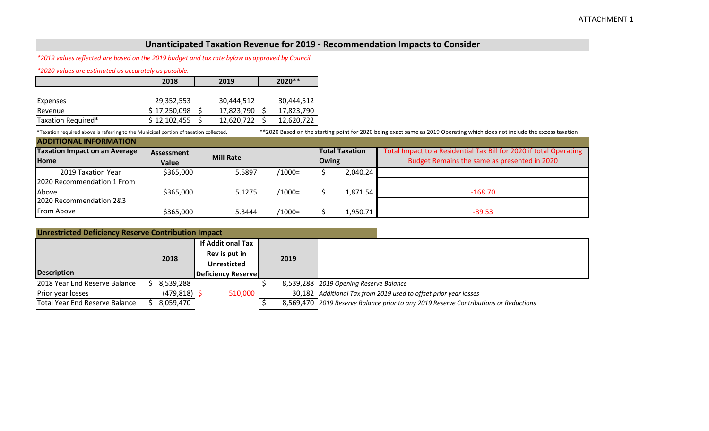## **Unanticipated Taxation Revenue for 2019 - Recommendation Impacts to Consider**

*\*2019 values reflected are based on the 2019 budget and tax rate bylaw as approved by Council.*

*\*2020 values are estimated as accurately as possible.*

|                    | 2018         | 2019       | $2020**$   |
|--------------------|--------------|------------|------------|
|                    |              |            |            |
| Expenses           | 29,352,553   | 30,444,512 | 30,444,512 |
| Revenue            | \$17,250,098 | 17,823,790 | 17,823,790 |
| Taxation Required* | \$12,102,455 | 12,620,722 | 12,620,722 |

\*Taxation required above is referring to the Municipal portion of taxation collected. \*\*2020 Based on the starting point for 2020 being exact same as 2019 Operating which does not include the excess taxation **ADDITIONAL INFORMATION**

| <b>ADDITIONAL INFORMATION</b>        |                   |                  |           |  |                |                                                                    |  |  |
|--------------------------------------|-------------------|------------------|-----------|--|----------------|--------------------------------------------------------------------|--|--|
| <b>Taxation Impact on an Average</b> | <b>Assessment</b> |                  |           |  | Total Taxation | Total Impact to a Residential Tax Bill for 2020 if total Operating |  |  |
| <b>Home</b>                          | Value             | <b>Mill Rate</b> | Owing     |  |                | Budget Remains the same as presented in 2020                       |  |  |
| 2019 Taxation Year                   | \$365,000         | 5.5897           | /1000=    |  | 2,040.24       |                                                                    |  |  |
| 2020 Recommendation 1 From           |                   |                  |           |  |                |                                                                    |  |  |
| Above                                | \$365,000         | 5.1275           | $/1000 =$ |  | 1,871.54       | $-168.70$                                                          |  |  |
| 2020 Recommendation 2&3              |                   |                  |           |  |                |                                                                    |  |  |
| From Above                           | \$365,000         | 5.3444           | /1000=    |  | 1,950.71       | $-89.53$                                                           |  |  |

| 2018      | <b>If Additional Tax</b><br>Rev is put in<br><b>Unresticted</b> | 2019                                                                          |                                                                                      |
|-----------|-----------------------------------------------------------------|-------------------------------------------------------------------------------|--------------------------------------------------------------------------------------|
|           |                                                                 |                                                                               |                                                                                      |
| 8,539,288 |                                                                 |                                                                               | 8,539,288 2019 Opening Reserve Balance                                               |
|           | 510,000                                                         |                                                                               | 30,182 Additional Tax from 2019 used to offset prior year losses                     |
| 8,059,470 |                                                                 |                                                                               | 8,569,470 2019 Reserve Balance prior to any 2019 Reserve Contributions or Reductions |
|           |                                                                 | <b>Unrestricted Deficiency Reserve Contribution Impact</b><br>$(479, 818)$ \$ | Deficiency Reserve                                                                   |